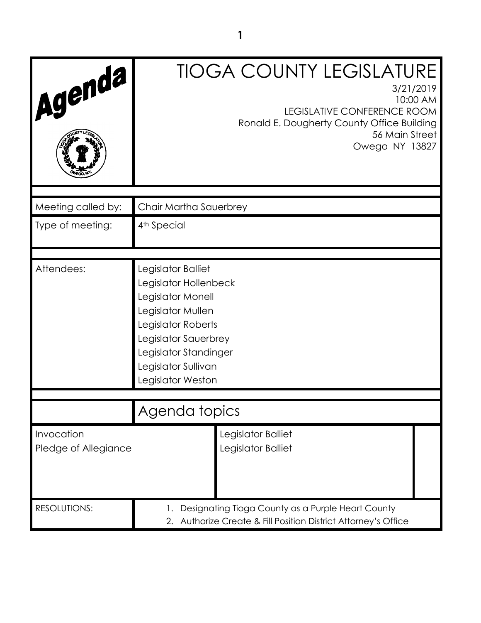| Agenda                             | <b>TIOGA COUNTY LEGISLATURE</b><br>3/21/2019<br>10:00 AM<br><b>LEGISLATIVE CONFERENCE ROOM</b><br>Ronald E. Dougherty County Office Building<br>56 Main Street<br>Owego NY 13827                         |
|------------------------------------|----------------------------------------------------------------------------------------------------------------------------------------------------------------------------------------------------------|
| Meeting called by:                 | Chair Martha Sauerbrey                                                                                                                                                                                   |
| Type of meeting:                   | 4 <sup>th</sup> Special                                                                                                                                                                                  |
| Attendees:                         | Legislator Balliet<br>Legislator Hollenbeck<br>Legislator Monell<br>Legislator Mullen<br>Legislator Roberts<br>Legislator Sauerbrey<br>Legislator Standinger<br>Legislator Sullivan<br>Legislator Weston |
|                                    | Agenda topics                                                                                                                                                                                            |
| Invocation<br>Pledge of Allegiance | Legislator Balliet<br>Legislator Balliet                                                                                                                                                                 |
| <b>RESOLUTIONS:</b>                | Designating Tioga County as a Purple Heart County<br>Authorize Create & Fill Position District Attorney's Office<br>2.                                                                                   |

**1**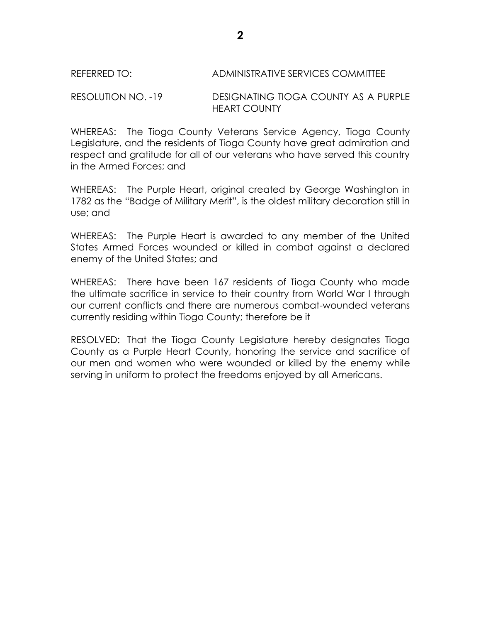## REFERRED TO: ADMINISTRATIVE SERVICES COMMITTEE

## RESOLUTION NO. -19 DESIGNATING TIOGA COUNTY AS A PURPLE HEART COUNTY

WHEREAS: The Tioga County Veterans Service Agency, Tioga County Legislature, and the residents of Tioga County have great admiration and respect and gratitude for all of our veterans who have served this country in the Armed Forces; and

WHEREAS: The Purple Heart, original created by George Washington in 1782 as the "Badge of Military Merit", is the oldest military decoration still in use; and

WHEREAS: The Purple Heart is awarded to any member of the United States Armed Forces wounded or killed in combat against a declared enemy of the United States; and

WHEREAS: There have been 167 residents of Tioga County who made the ultimate sacrifice in service to their country from World War I through our current conflicts and there are numerous combat-wounded veterans currently residing within Tioga County; therefore be it

RESOLVED: That the Tioga County Legislature hereby designates Tioga County as a Purple Heart County, honoring the service and sacrifice of our men and women who were wounded or killed by the enemy while serving in uniform to protect the freedoms enjoyed by all Americans.